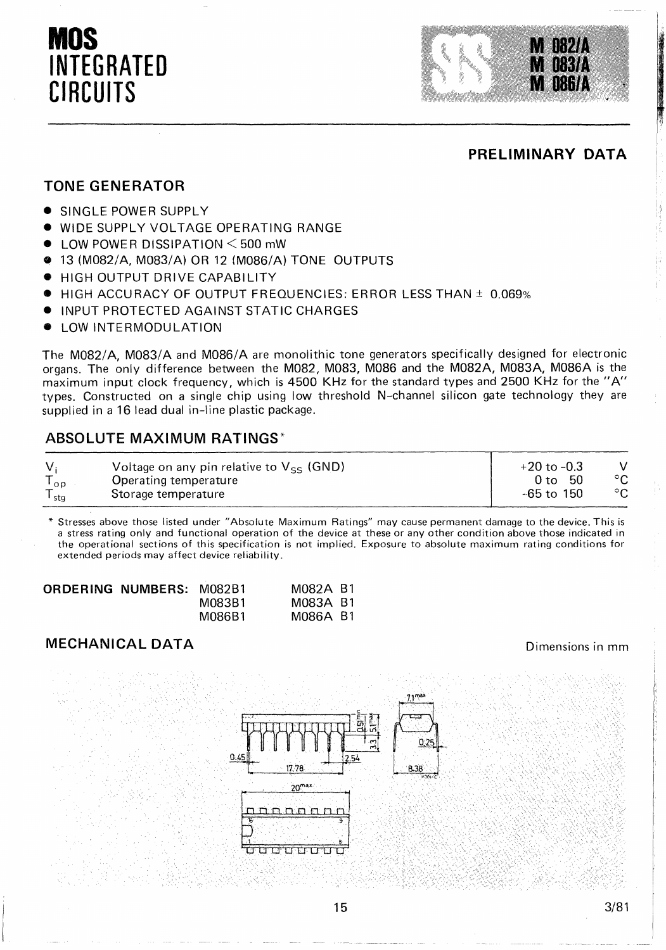# **MOS INTEGRATED CIRCUITS**



#### **PRELIMINARY DATA**

#### **TONE GENERATOR**

- SINGLE POWER SUPPLY
- WIDE SUPPLY VOLTAGE OPERATING RANGE
- LOW POWER DISSIPATION < 500 mW
- 13 (M082/A, M083/A) OR 12 (M086/A) TONE OUTPUTS
- HIGH OUTPUT DRIVE CAPABILITY
- HIGH ACCURACY OF OUTPUT FREQUENCIES: ERROR LESS THAN ± 0.069%
- INPUT PROTECTED AGAINST STATIC CHARGES
- LOW INTERMODULATION

The M082/A, M083/A and M086/A are monolithic tone generators specifically designed for electronic organs. The only difference between the M082, M083, M086 and the M082A, M083A, M086A is the maximum input clock frequency, which is 4500 KHz for the standard types and 2500 KHz for the" A" types. Constructed on a single chip using low threshold N-channel silicon gate technology they are supplied in a 16 lead dual in-line plastic package.

#### **ABSOLUTE MAXIMUM RATINGS'**

| V.    | Voltage on any pin relative to $V_{\leq s}$ (GND) | $+20$ to $-0.3$ |            |
|-------|---------------------------------------------------|-----------------|------------|
| log   | Operating temperature                             | - 50<br>0 to -  | $\circ$    |
| l sta | Storage temperature                               | $-65$ to $150$  | ் $\rm{c}$ |

• Stresses above those listed under "Absolute Maximum Ratings" may cause permanent damage to the device. This is a stress rating only and functional operation of the device at these or any other condition above those indicated in the operational sections of this specification is not implied. Exposure to absolute maximum rating conditions for extended periods may affect device reliability.

| ORDERING NUMBERS: M082B1 |        | M082A B1 |  |
|--------------------------|--------|----------|--|
|                          | M083B1 | M083A B1 |  |
|                          | M086B1 | M086A B1 |  |

#### **MECHANICAL DATA**

Dimensions in mm

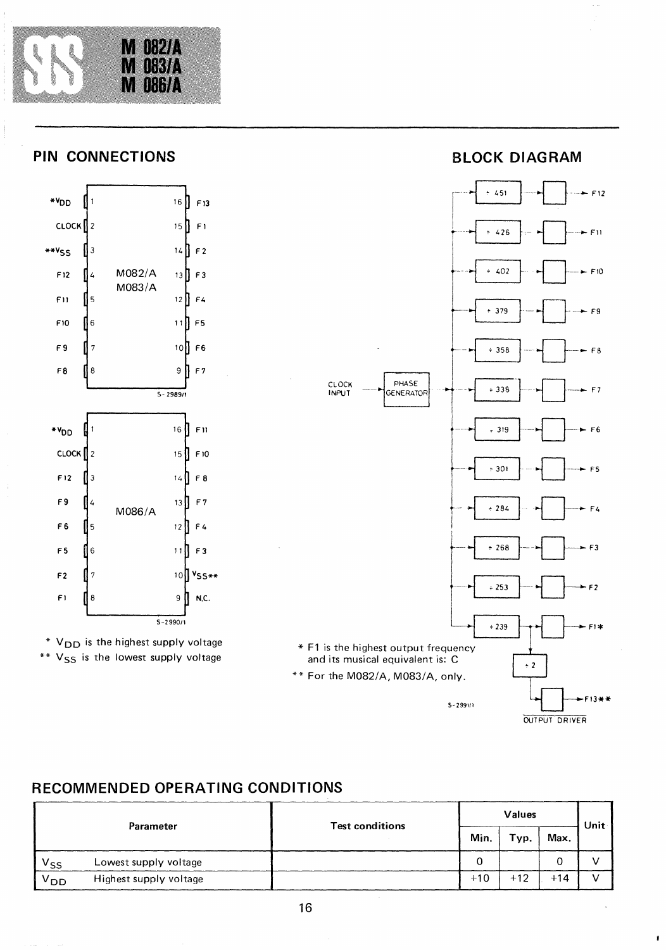

## **PIN CONNECTIONS**





**BLOCK DIAGRAM** 



## **RECOMMENDED OPERATING CONDITIONS**

| Parameter |                        | <b>Test conditions</b> | Values |       |       | Unit |
|-----------|------------------------|------------------------|--------|-------|-------|------|
|           |                        |                        | Min.   | Typ.  | Max.  |      |
| $V_{SS}$  | Lowest supply voltage  |                        | 0      |       |       |      |
| $V_{DD}$  | Highest supply voltage |                        | $+10$  | $+12$ | $+14$ |      |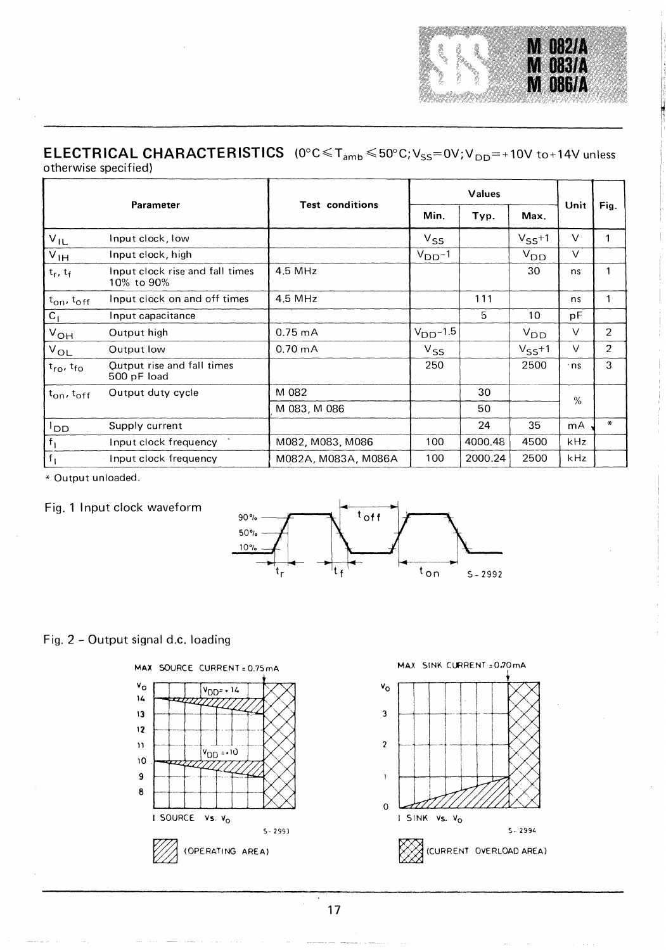

#### **ELECTRICAL CHARACTERISTICS** (0°C≤T<sub>amb</sub>≤50°C;V<sub>SS</sub>=0V;V<sub>DD</sub>=+10V to+14V unless otherwise specified)

| Parameter                         |                                               | <b>Test conditions</b> | Values        |         |            |              |                |
|-----------------------------------|-----------------------------------------------|------------------------|---------------|---------|------------|--------------|----------------|
|                                   |                                               |                        | Min.          | Typ.    | Max.       | Unit         | Fig.           |
| $V_{IL}$                          | Input clock, low                              |                        | $V_{SS}$      |         | $V_{SS}+1$ | $\mathsf{V}$ |                |
| $V_{\text{IH}}$                   | Input clock, high                             |                        | $VDD-1$       |         | $V_{DD}$   | $\vee$       |                |
| $t_r$ , $t_f$                     | Input clock rise and fall times<br>10% to 90% | 4.5 MHz                |               |         | 30         | ns           | 1              |
| $t_{on}$ , $t_{off}$              | Input clock on and off times                  | 4.5 MHz                |               | 111     |            | ns           | 1              |
| $C_1$                             | Input capacitance                             |                        |               | 5       | 10         | рF           |                |
| $V_{OH}$                          | Output high                                   | $0.75 \text{ mA}$      | $V_{DD}$ -1.5 |         | $V_{DD}$   | $\vee$       | $\overline{2}$ |
| $V_{OL}$                          | Output low                                    | $0.70 \text{ mA}$      | $V_{SS}$      |         | $V_{SS}+1$ | $\vee$       | 2              |
| $t_{\text{ro}}$ , $t_{\text{fo}}$ | Qutput rise and fall times<br>500 pF load     |                        | 250           |         | 2500       | · ns         | 3              |
| $t_{\rm on}$ , $t_{\rm off}$      | Output duty cycle                             | M 082                  |               | 30      |            | %            |                |
|                                   |                                               | M 083, M 086           |               | 50      |            |              |                |
| <sup>l</sup> DD.                  | Supply current                                |                        |               | 24      | 35         | mA           | $\ast$         |
| $f_1$                             | Input clock frequency                         | M082, M083, M086       | 100           | 4000.48 | 4500       | kHz          |                |
| $f_1$                             | Input clock frequency                         | M082A, M083A, M086A    | 100           | 2000.24 | 2500       | kHz          |                |

• Output unloaded.





#### Fig. 2 - Output signal d.c. loading





17